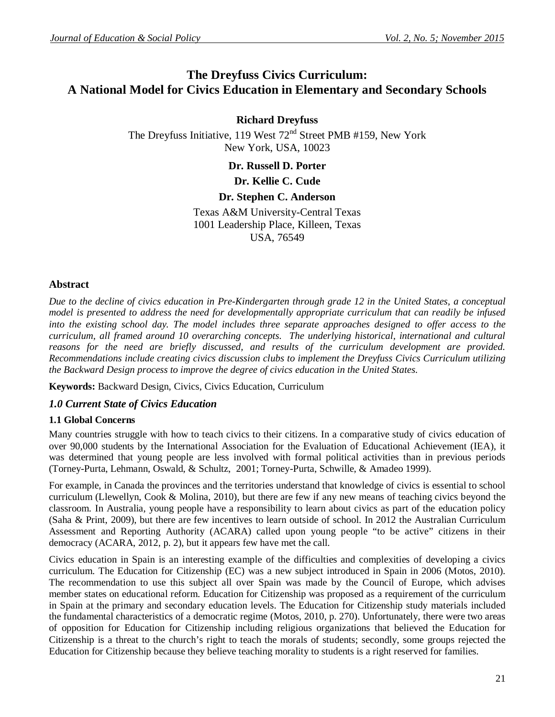# **The Dreyfuss Civics Curriculum: A National Model for Civics Education in Elementary and Secondary Schools**

**Richard Dreyfuss** The Dreyfuss Initiative, 119 West  $72<sup>nd</sup>$  Street PMB #159, New York New York, USA, 10023

**Dr. Russell D. Porter**

## **Dr. Kellie C. Cude**

## **Dr. Stephen C. Anderson**

Texas A&M University-Central Texas 1001 Leadership Place, Killeen, Texas USA, 76549

## **Abstract**

*Due to the decline of civics education in Pre-Kindergarten through grade 12 in the United States, a conceptual model is presented to address the need for developmentally appropriate curriculum that can readily be infused into the existing school day. The model includes three separate approaches designed to offer access to the curriculum, all framed around 10 overarching concepts. The underlying historical, international and cultural reasons for the need are briefly discussed, and results of the curriculum development are provided. Recommendations include creating civics discussion clubs to implement the Dreyfuss Civics Curriculum utilizing the Backward Design process to improve the degree of civics education in the United States.* 

**Keywords:** Backward Design, Civics, Civics Education, Curriculum

## *1.0 Current State of Civics Education*

#### **1.1 Global Concerns**

Many countries struggle with how to teach civics to their citizens. In a comparative study of civics education of over 90,000 students by the International Association for the Evaluation of Educational Achievement (IEA), it was determined that young people are less involved with formal political activities than in previous periods (Torney-Purta, Lehmann, Oswald, & Schultz, 2001; Torney-Purta, Schwille, & Amadeo 1999).

For example, in Canada the provinces and the territories understand that knowledge of civics is essential to school curriculum (Llewellyn, Cook & Molina, 2010), but there are few if any new means of teaching civics beyond the classroom. In Australia, young people have a responsibility to learn about civics as part of the education policy (Saha & Print, 2009), but there are few incentives to learn outside of school. In 2012 the Australian Curriculum Assessment and Reporting Authority (ACARA) called upon young people "to be active" citizens in their democracy (ACARA, 2012, p. 2), but it appears few have met the call.

Civics education in Spain is an interesting example of the difficulties and complexities of developing a civics curriculum. The Education for Citizenship (EC) was a new subject introduced in Spain in 2006 (Motos, 2010). The recommendation to use this subject all over Spain was made by the Council of Europe, which advises member states on educational reform. Education for Citizenship was proposed as a requirement of the curriculum in Spain at the primary and secondary education levels. The Education for Citizenship study materials included the fundamental characteristics of a democratic regime (Motos, 2010, p. 270). Unfortunately, there were two areas of opposition for Education for Citizenship including religious organizations that believed the Education for Citizenship is a threat to the church's right to teach the morals of students; secondly, some groups rejected the Education for Citizenship because they believe teaching morality to students is a right reserved for families.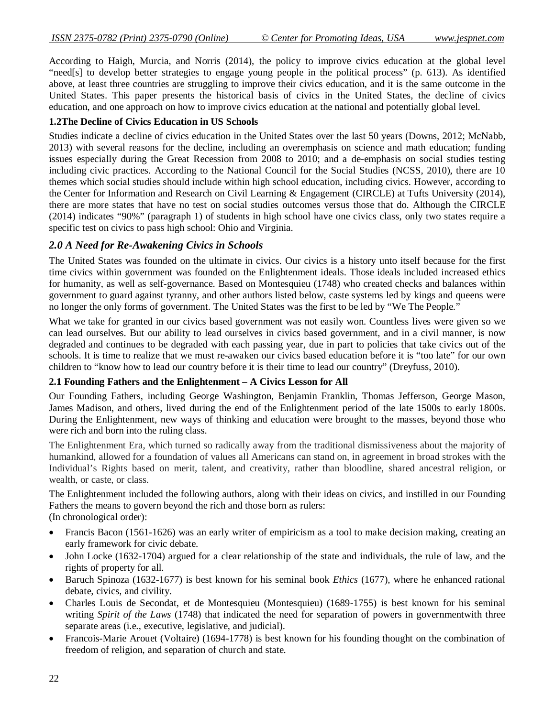According to Haigh, Murcia, and Norris (2014), the policy to improve civics education at the global level "need[s] to develop better strategies to engage young people in the political process" (p. 613). As identified above, at least three countries are struggling to improve their civics education, and it is the same outcome in the United States. This paper presents the historical basis of civics in the United States, the decline of civics education, and one approach on how to improve civics education at the national and potentially global level.

## **1.2The Decline of Civics Education in US Schools**

Studies indicate a decline of civics education in the United States over the last 50 years (Downs, 2012; McNabb, 2013) with several reasons for the decline, including an overemphasis on science and math education; funding issues especially during the Great Recession from 2008 to 2010; and a de-emphasis on social studies testing including civic practices. According to the National Council for the Social Studies (NCSS, 2010), there are 10 themes which social studies should include within high school education, including civics. However, according to the Center for Information and Research on Civil Learning & Engagement (CIRCLE) at Tufts University (2014), there are more states that have no test on social studies outcomes versus those that do. Although the CIRCLE (2014) indicates "90%" (paragraph 1) of students in high school have one civics class, only two states require a specific test on civics to pass high school: Ohio and Virginia.

## *2.0 A Need for Re-Awakening Civics in Schools*

The United States was founded on the ultimate in civics. Our civics is a history unto itself because for the first time civics within government was founded on the Enlightenment ideals. Those ideals included increased ethics for humanity, as well as self-governance. Based on Montesquieu (1748) who created checks and balances within government to guard against tyranny, and other authors listed below, caste systems led by kings and queens were no longer the only forms of government. The United States was the first to be led by "We The People."

What we take for granted in our civics based government was not easily won. Countless lives were given so we can lead ourselves. But our ability to lead ourselves in civics based government, and in a civil manner, is now degraded and continues to be degraded with each passing year, due in part to policies that take civics out of the schools. It is time to realize that we must re-awaken our civics based education before it is "too late" for our own children to "know how to lead our country before it is their time to lead our country" (Dreyfuss, 2010).

## **2.1 Founding Fathers and the Enlightenment – A Civics Lesson for All**

Our Founding Fathers, including George Washington, Benjamin Franklin, Thomas Jefferson, George Mason, James Madison, and others, lived during the end of the Enlightenment period of the late 1500s to early 1800s. During the Enlightenment, new ways of thinking and education were brought to the masses, beyond those who were rich and born into the ruling class.

The Enlightenment Era, which turned so radically away from the traditional dismissiveness about the majority of humankind, allowed for a foundation of values all Americans can stand on, in agreement in broad strokes with the Individual's Rights based on merit, talent, and creativity, rather than bloodline, shared ancestral religion, or wealth, or caste, or class.

The Enlightenment included the following authors, along with their ideas on civics, and instilled in our Founding Fathers the means to govern beyond the rich and those born as rulers: (In chronological order):

- Francis Bacon (1561-1626) was an early writer of empiricism as a tool to make decision making, creating an early framework for civic debate.
- John Locke (1632-1704) argued for a clear relationship of the state and individuals, the rule of law, and the rights of property for all.
- Baruch Spinoza (1632-1677) is best known for his seminal book *Ethics* (1677), where he enhanced rational debate, civics, and civility.
- Charles Louis de Secondat, et de Montesquieu (Montesquieu) (1689-1755) is best known for his seminal writing *Spirit of the Laws* (1748) that indicated the need for separation of powers in governmentwith three separate areas (i.e., executive, legislative, and judicial).
- Francois-Marie Arouet (Voltaire) (1694-1778) is best known for his founding thought on the combination of freedom of religion, and separation of church and state.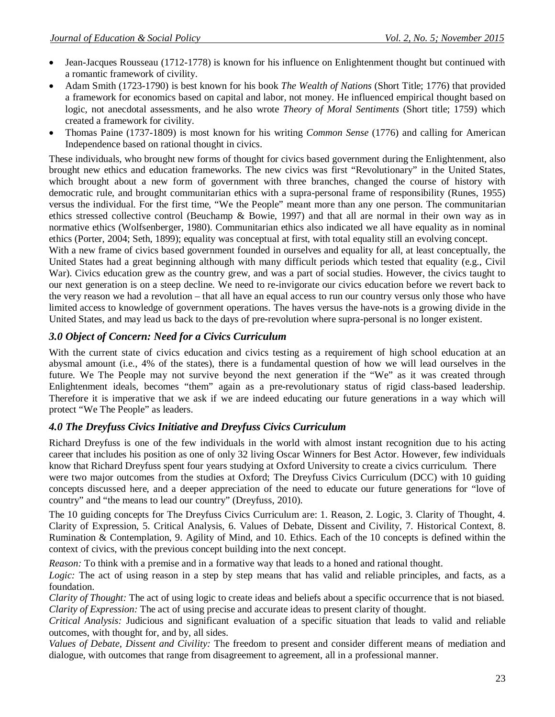- Jean-Jacques Rousseau (1712-1778) is known for his influence on Enlightenment thought but continued with a romantic framework of civility.
- Adam Smith (1723-1790) is best known for his book *The Wealth of Nations* (Short Title; 1776) that provided a framework for economics based on capital and labor, not money. He influenced empirical thought based on logic, not anecdotal assessments, and he also wrote *Theory of Moral Sentiments* (Short title; 1759) which created a framework for civility.
- Thomas Paine (1737-1809) is most known for his writing *Common Sense* (1776) and calling for American Independence based on rational thought in civics.

These individuals, who brought new forms of thought for civics based government during the Enlightenment, also brought new ethics and education frameworks. The new civics was first "Revolutionary" in the United States, which brought about a new form of government with three branches, changed the course of history with democratic rule, and brought communitarian ethics with a supra-personal frame of responsibility (Runes, 1955) versus the individual. For the first time, "We the People" meant more than any one person. The communitarian ethics stressed collective control (Beuchamp & Bowie, 1997) and that all are normal in their own way as in normative ethics (Wolfsenberger, 1980). Communitarian ethics also indicated we all have equality as in nominal ethics (Porter, 2004; Seth, 1899); equality was conceptual at first, with total equality still an evolving concept.

With a new frame of civics based government founded in ourselves and equality for all, at least conceptually, the United States had a great beginning although with many difficult periods which tested that equality (e.g., Civil War). Civics education grew as the country grew, and was a part of social studies. However, the civics taught to our next generation is on a steep decline. We need to re-invigorate our civics education before we revert back to the very reason we had a revolution – that all have an equal access to run our country versus only those who have limited access to knowledge of government operations. The haves versus the have-nots is a growing divide in the United States, and may lead us back to the days of pre-revolution where supra-personal is no longer existent.

## *3.0 Object of Concern: Need for a Civics Curriculum*

With the current state of civics education and civics testing as a requirement of high school education at an abysmal amount (i.e., 4% of the states), there is a fundamental question of how we will lead ourselves in the future. We The People may not survive beyond the next generation if the "We" as it was created through Enlightenment ideals, becomes "them" again as a pre-revolutionary status of rigid class-based leadership. Therefore it is imperative that we ask if we are indeed educating our future generations in a way which will protect "We The People" as leaders.

## *4.0 The Dreyfuss Civics Initiative and Dreyfuss Civics Curriculum*

Richard Dreyfuss is one of the few individuals in the world with almost instant recognition due to his acting career that includes his position as one of only 32 living Oscar Winners for Best Actor. However, few individuals know that Richard Dreyfuss spent four years studying at Oxford University to create a civics curriculum. There were two major outcomes from the studies at Oxford; The Dreyfuss Civics Curriculum (DCC) with 10 guiding concepts discussed here, and a deeper appreciation of the need to educate our future generations for "love of country" and "the means to lead our country" (Dreyfuss, 2010).

The 10 guiding concepts for The Dreyfuss Civics Curriculum are: 1. Reason, 2. Logic, 3. Clarity of Thought, 4. Clarity of Expression, 5. Critical Analysis, 6. Values of Debate, Dissent and Civility, 7. Historical Context, 8. Rumination & Contemplation, 9. Agility of Mind, and 10. Ethics. Each of the 10 concepts is defined within the context of civics, with the previous concept building into the next concept.

*Reason:* To think with a premise and in a formative way that leads to a honed and rational thought.

*Logic:* The act of using reason in a step by step means that has valid and reliable principles, and facts, as a foundation.

*Clarity of Thought:* The act of using logic to create ideas and beliefs about a specific occurrence that is not biased. *Clarity of Expression:* The act of using precise and accurate ideas to present clarity of thought.

*Critical Analysis:* Judicious and significant evaluation of a specific situation that leads to valid and reliable outcomes, with thought for, and by, all sides.

*Values of Debate, Dissent and Civility:* The freedom to present and consider different means of mediation and dialogue, with outcomes that range from disagreement to agreement, all in a professional manner.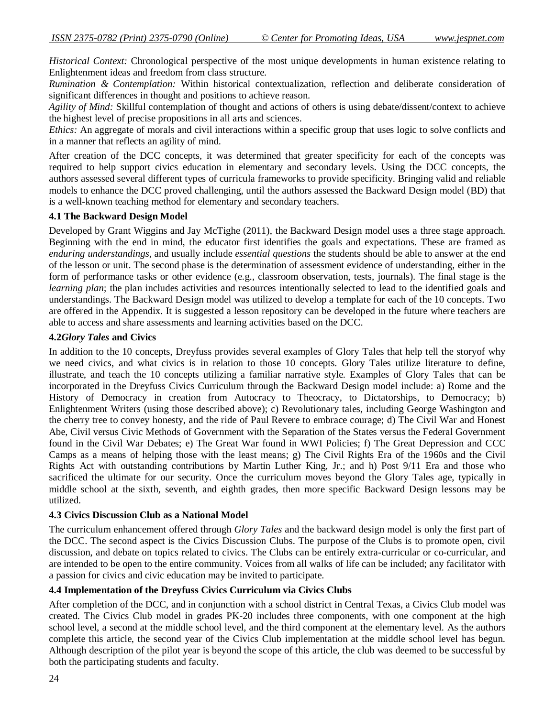*Historical Context:* Chronological perspective of the most unique developments in human existence relating to Enlightenment ideas and freedom from class structure.

*Rumination & Contemplation:* Within historical contextualization, reflection and deliberate consideration of significant differences in thought and positions to achieve reason.

*Agility of Mind:* Skillful contemplation of thought and actions of others is using debate/dissent/context to achieve the highest level of precise propositions in all arts and sciences.

*Ethics:* An aggregate of morals and civil interactions within a specific group that uses logic to solve conflicts and in a manner that reflects an agility of mind.

After creation of the DCC concepts, it was determined that greater specificity for each of the concepts was required to help support civics education in elementary and secondary levels. Using the DCC concepts, the authors assessed several different types of curricula frameworks to provide specificity. Bringing valid and reliable models to enhance the DCC proved challenging, until the authors assessed the Backward Design model (BD) that is a well-known teaching method for elementary and secondary teachers.

## **4.1 The Backward Design Model**

Developed by Grant Wiggins and Jay McTighe (2011), the Backward Design model uses a three stage approach. Beginning with the end in mind, the educator first identifies the goals and expectations. These are framed as *enduring understandings*, and usually include *essential questions* the students should be able to answer at the end of the lesson or unit. The second phase is the determination of assessment evidence of understanding, either in the form of performance tasks or other evidence (e.g., classroom observation, tests, journals). The final stage is the *learning plan*; the plan includes activities and resources intentionally selected to lead to the identified goals and understandings. The Backward Design model was utilized to develop a template for each of the 10 concepts. Two are offered in the Appendix. It is suggested a lesson repository can be developed in the future where teachers are able to access and share assessments and learning activities based on the DCC.

## **4.2***Glory Tales* **and Civics**

In addition to the 10 concepts, Dreyfuss provides several examples of Glory Tales that help tell the storyof why we need civics, and what civics is in relation to those 10 concepts. Glory Tales utilize literature to define, illustrate, and teach the 10 concepts utilizing a familiar narrative style. Examples of Glory Tales that can be incorporated in the Dreyfuss Civics Curriculum through the Backward Design model include: a) Rome and the History of Democracy in creation from Autocracy to Theocracy, to Dictatorships, to Democracy; b) Enlightenment Writers (using those described above); c) Revolutionary tales, including George Washington and the cherry tree to convey honesty, and the ride of Paul Revere to embrace courage; d) The Civil War and Honest Abe, Civil versus Civic Methods of Government with the Separation of the States versus the Federal Government found in the Civil War Debates; e) The Great War found in WWI Policies; f) The Great Depression and CCC Camps as a means of helping those with the least means; g) The Civil Rights Era of the 1960s and the Civil Rights Act with outstanding contributions by Martin Luther King, Jr.; and h) Post 9/11 Era and those who sacrificed the ultimate for our security. Once the curriculum moves beyond the Glory Tales age, typically in middle school at the sixth, seventh, and eighth grades, then more specific Backward Design lessons may be utilized.

#### **4.3 Civics Discussion Club as a National Model**

The curriculum enhancement offered through *Glory Tales* and the backward design model is only the first part of the DCC. The second aspect is the Civics Discussion Clubs. The purpose of the Clubs is to promote open, civil discussion, and debate on topics related to civics. The Clubs can be entirely extra-curricular or co-curricular, and are intended to be open to the entire community. Voices from all walks of life can be included; any facilitator with a passion for civics and civic education may be invited to participate.

## **4.4 Implementation of the Dreyfuss Civics Curriculum via Civics Clubs**

After completion of the DCC, and in conjunction with a school district in Central Texas, a Civics Club model was created. The Civics Club model in grades PK-20 includes three components, with one component at the high school level, a second at the middle school level, and the third component at the elementary level. As the authors complete this article, the second year of the Civics Club implementation at the middle school level has begun. Although description of the pilot year is beyond the scope of this article, the club was deemed to be successful by both the participating students and faculty.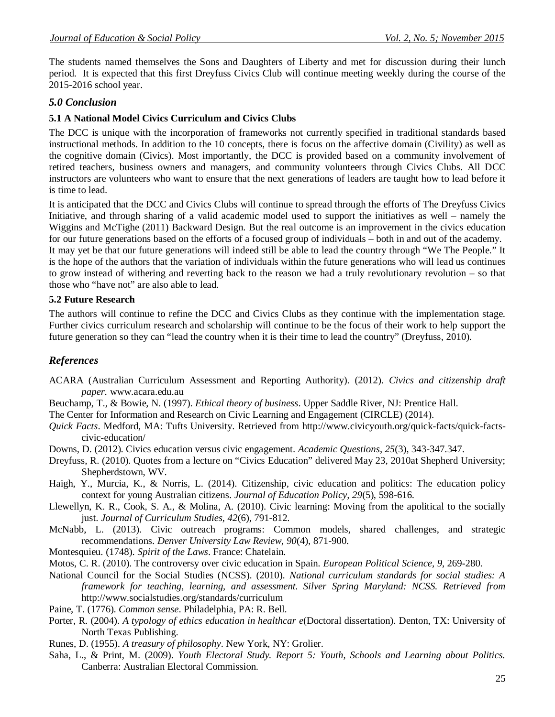The students named themselves the Sons and Daughters of Liberty and met for discussion during their lunch period. It is expected that this first Dreyfuss Civics Club will continue meeting weekly during the course of the 2015-2016 school year.

## *5.0 Conclusion*

## **5.1 A National Model Civics Curriculum and Civics Clubs**

The DCC is unique with the incorporation of frameworks not currently specified in traditional standards based instructional methods. In addition to the 10 concepts, there is focus on the affective domain (Civility) as well as the cognitive domain (Civics). Most importantly, the DCC is provided based on a community involvement of retired teachers, business owners and managers, and community volunteers through Civics Clubs. All DCC instructors are volunteers who want to ensure that the next generations of leaders are taught how to lead before it is time to lead.

It is anticipated that the DCC and Civics Clubs will continue to spread through the efforts of The Dreyfuss Civics Initiative, and through sharing of a valid academic model used to support the initiatives as well – namely the Wiggins and McTighe (2011) Backward Design. But the real outcome is an improvement in the civics education for our future generations based on the efforts of a focused group of individuals – both in and out of the academy. It may yet be that our future generations will indeed still be able to lead the country through "We The People." It is the hope of the authors that the variation of individuals within the future generations who will lead us continues to grow instead of withering and reverting back to the reason we had a truly revolutionary revolution – so that those who "have not" are also able to lead.

## **5.2 Future Research**

The authors will continue to refine the DCC and Civics Clubs as they continue with the implementation stage. Further civics curriculum research and scholarship will continue to be the focus of their work to help support the future generation so they can "lead the country when it is their time to lead the country" (Dreyfuss, 2010).

## *References*

- ACARA (Australian Curriculum Assessment and Reporting Authority). (2012). *Civics and citizenship draft paper.* www.acara.edu.au
- Beuchamp, T., & Bowie, N. (1997). *Ethical theory of business*. Upper Saddle River, NJ: Prentice Hall.
- The Center for Information and Research on Civic Learning and Engagement (CIRCLE) (2014).
- *Quick Facts*. Medford, MA: Tufts University. Retrieved from http://www.civicyouth.org/quick-facts/quick-factscivic-education/
- Downs, D. (2012). Civics education versus civic engagement. *Academic Questions*, *25*(3), 343-347.347.
- Dreyfuss, R. (2010). Quotes from a lecture on "Civics Education" delivered May 23, 2010at Shepherd University; Shepherdstown, WV.
- Haigh, Y., Murcia, K., & Norris, L. (2014). Citizenship, civic education and politics: The education policy context for young Australian citizens. *Journal of Education Policy, 29*(5), 598-616.
- Llewellyn, K. R., Cook, S. A., & Molina, A. (2010). Civic learning: Moving from the apolitical to the socially just. *Journal of Curriculum Studies, 42*(6), 791-812.
- McNabb, L. (2013). Civic outreach programs: Common models, shared challenges, and strategic recommendations. *Denver University Law Review, 90*(4), 871-900.
- Montesquieu. (1748). *Spirit of the Laws*. France: Chatelain.
- Motos, C. R. (2010). The controversy over civic education in Spain. *European Political Science, 9*, 269-280*.*
- National Council for the Social Studies (NCSS). (2010). *National curriculum standards for social studies: A framework for teaching, learning, and assessment. Silver Spring Maryland: NCSS. Retrieved from*  http://www.socialstudies.org/standards/curriculum
- Paine, T. (1776). *Common sense*. Philadelphia, PA: R. Bell.
- Porter, R. (2004). *A typology of ethics education in healthcar e*(Doctoral dissertation). Denton, TX: University of North Texas Publishing.
- Runes, D. (1955). *A treasury of philosophy*. New York, NY: Grolier.
- Saha, L., & Print, M. (2009). *Youth Electoral Study. Report 5: Youth, Schools and Learning about Politics.* Canberra: Australian Electoral Commission.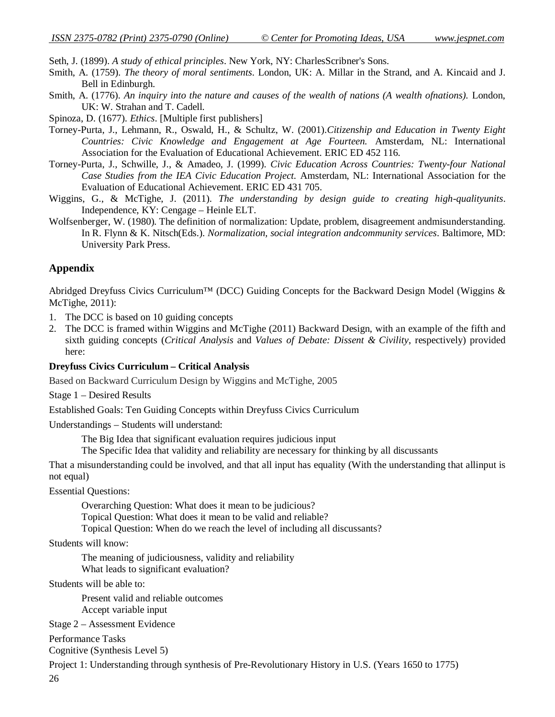Seth, J. (1899). *A study of ethical principles*. New York, NY: CharlesScribner's Sons.

- Smith, A. (1759). *The theory of moral sentiments*. London, UK: A. Millar in the Strand, and A. Kincaid and J. Bell in Edinburgh.
- Smith, A. (1776). *An inquiry into the nature and causes of the wealth of nations (A wealth ofnations).* London, UK: W. Strahan and T. Cadell.
- Spinoza, D. (1677). *Ethics*. [Multiple first publishers]
- Torney-Purta, J., Lehmann, R., Oswald, H., & Schultz, W. (2001).*Citizenship and Education in Twenty Eight Countries: Civic Knowledge and Engagement at Age Fourteen.* Amsterdam, NL: International Association for the Evaluation of Educational Achievement. ERIC ED 452 116.
- Torney-Purta, J., Schwille, J., & Amadeo, J. (1999). *Civic Education Across Countries: Twenty-four National Case Studies from the IEA Civic Education Project.* Amsterdam, NL: International Association for the Evaluation of Educational Achievement. ERIC ED 431 705.
- Wiggins, G., & McTighe, J. (2011). *The understanding by design guide to creating high-qualityunits*. Independence, KY: Cengage – Heinle ELT.
- Wolfsenberger, W. (1980). The definition of normalization: Update, problem, disagreement andmisunderstanding. In R. Flynn & K. Nitsch(Eds.). *Normalization, social integration andcommunity services*. Baltimore, MD: University Park Press.

## **Appendix**

Abridged Dreyfuss Civics Curriculum™ (DCC) Guiding Concepts for the Backward Design Model (Wiggins & McTighe, 2011):

- 1. The DCC is based on 10 guiding concepts
- 2. The DCC is framed within Wiggins and McTighe (2011) Backward Design, with an example of the fifth and sixth guiding concepts (*Critical Analysis* and *Values of Debate: Dissent & Civility*, respectively) provided here:

#### **Dreyfuss Civics Curriculum – Critical Analysis**

Based on Backward Curriculum Design by Wiggins and McTighe, 2005

Stage 1 – Desired Results

Established Goals: Ten Guiding Concepts within Dreyfuss Civics Curriculum

Understandings – Students will understand:

The Big Idea that significant evaluation requires judicious input

The Specific Idea that validity and reliability are necessary for thinking by all discussants

That a misunderstanding could be involved, and that all input has equality (With the understanding that allinput is not equal)

Essential Questions:

Overarching Question: What does it mean to be judicious? Topical Question: What does it mean to be valid and reliable?

Topical Question: When do we reach the level of including all discussants?

Students will know:

The meaning of judiciousness, validity and reliability

What leads to significant evaluation?

Students will be able to:

Present valid and reliable outcomes Accept variable input

Stage 2 – Assessment Evidence

Performance Tasks Cognitive (Synthesis Level 5)

Project 1: Understanding through synthesis of Pre-Revolutionary History in U.S. (Years 1650 to 1775)

26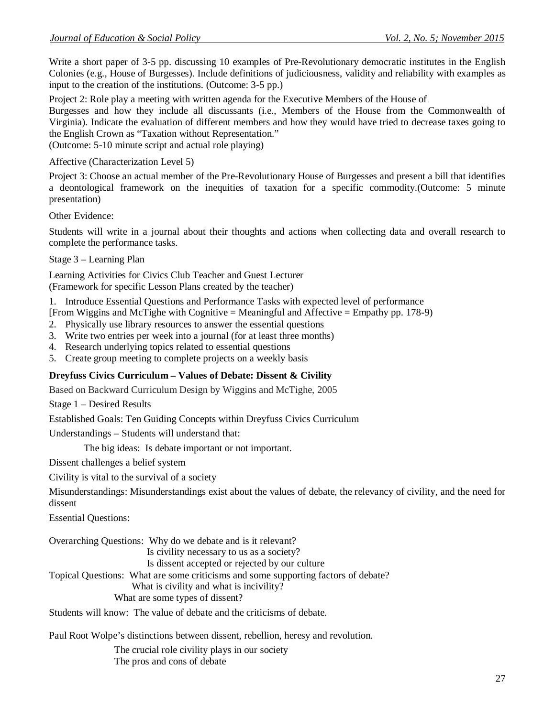Write a short paper of 3-5 pp. discussing 10 examples of Pre-Revolutionary democratic institutes in the English Colonies (e.g., House of Burgesses). Include definitions of judiciousness, validity and reliability with examples as input to the creation of the institutions. (Outcome: 3-5 pp.)

Project 2: Role play a meeting with written agenda for the Executive Members of the House of

Burgesses and how they include all discussants (i.e., Members of the House from the Commonwealth of Virginia). Indicate the evaluation of different members and how they would have tried to decrease taxes going to the English Crown as "Taxation without Representation."

(Outcome: 5-10 minute script and actual role playing)

Affective (Characterization Level 5)

Project 3: Choose an actual member of the Pre-Revolutionary House of Burgesses and present a bill that identifies a deontological framework on the inequities of taxation for a specific commodity.(Outcome: 5 minute presentation)

Other Evidence:

Students will write in a journal about their thoughts and actions when collecting data and overall research to complete the performance tasks.

Stage 3 – Learning Plan

Learning Activities for Civics Club Teacher and Guest Lecturer (Framework for specific Lesson Plans created by the teacher)

1. Introduce Essential Questions and Performance Tasks with expected level of performance

[From Wiggins and McTighe with Cognitive = Meaningful and Affective = Empathy pp. 178-9)

- 2. Physically use library resources to answer the essential questions
- 3. Write two entries per week into a journal (for at least three months)
- 4. Research underlying topics related to essential questions
- 5. Create group meeting to complete projects on a weekly basis

## **Dreyfuss Civics Curriculum – Values of Debate: Dissent & Civility**

Based on Backward Curriculum Design by Wiggins and McTighe, 2005

Stage 1 – Desired Results

Established Goals: Ten Guiding Concepts within Dreyfuss Civics Curriculum

Understandings – Students will understand that:

The big ideas: Is debate important or not important.

Dissent challenges a belief system

Civility is vital to the survival of a society

Misunderstandings: Misunderstandings exist about the values of debate, the relevancy of civility, and the need for dissent

Essential Questions:

Overarching Questions: Why do we debate and is it relevant? Is civility necessary to us as a society? Is dissent accepted or rejected by our culture Topical Questions: What are some criticisms and some supporting factors of debate? What is civility and what is incivility? What are some types of dissent? Students will know: The value of debate and the criticisms of debate.

Paul Root Wolpe's distinctions between dissent, rebellion, heresy and revolution.

The crucial role civility plays in our society The pros and cons of debate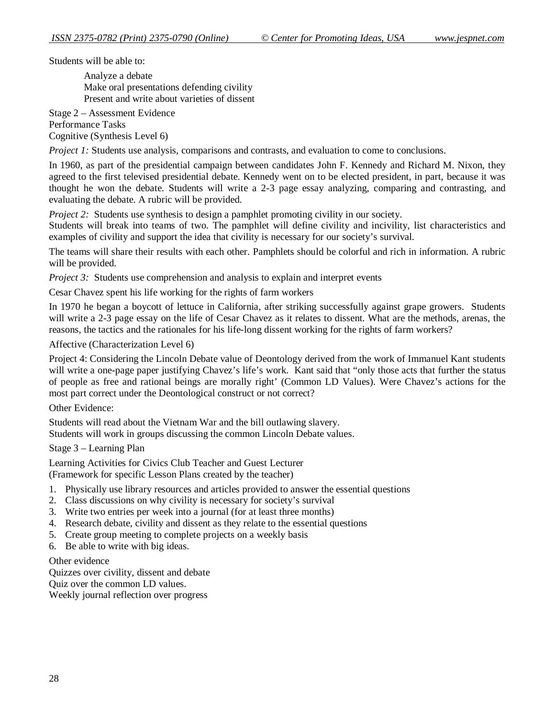Students will be able to:

 Analyze a debate Make oral presentations defending civility Present and write about varieties of dissent

Stage 2 – Assessment Evidence Performance Tasks Cognitive (Synthesis Level 6)

*Project 1:* Students use analysis, comparisons and contrasts, and evaluation to come to conclusions.

In 1960, as part of the presidential campaign between candidates John F. Kennedy and Richard M. Nixon, they agreed to the first televised presidential debate. Kennedy went on to be elected president, in part, because it was thought he won the debate. Students will write a 2-3 page essay analyzing, comparing and contrasting, and evaluating the debate. A rubric will be provided.

*Project 2:* Students use synthesis to design a pamphlet promoting civility in our society.

Students will break into teams of two. The pamphlet will define civility and incivility, list characteristics and examples of civility and support the idea that civility is necessary for our society's survival.

The teams will share their results with each other. Pamphlets should be colorful and rich in information. A rubric will be provided.

*Project 3:* Students use comprehension and analysis to explain and interpret events

Cesar Chavez spent his life working for the rights of farm workers

In 1970 he began a boycott of lettuce in California, after striking successfully against grape growers. Students will write a 2-3 page essay on the life of Cesar Chavez as it relates to dissent. What are the methods, arenas, the reasons, the tactics and the rationales for his life-long dissent working for the rights of farm workers?

Affective (Characterization Level 6)

Project 4: Considering the Lincoln Debate value of Deontology derived from the work of Immanuel Kant students will write a one-page paper justifying Chavez's life's work. Kant said that "only those acts that further the status of people as free and rational beings are morally right' (Common LD Values). Were Chavez's actions for the most part correct under the Deontological construct or not correct?

Other Evidence:

Students will read about the Vietnam War and the bill outlawing slavery. Students will work in groups discussing the common Lincoln Debate values.

Stage 3 – Learning Plan

Learning Activities for Civics Club Teacher and Guest Lecturer (Framework for specific Lesson Plans created by the teacher)

- 1. Physically use library resources and articles provided to answer the essential questions
- 2. Class discussions on why civility is necessary for society's survival
- 3. Write two entries per week into a journal (for at least three months)
- 4. Research debate, civility and dissent as they relate to the essential questions
- 5. Create group meeting to complete projects on a weekly basis
- 6. Be able to write with big ideas.

#### Other evidence

Quizzes over civility, dissent and debate Quiz over the common LD values.

Weekly journal reflection over progress